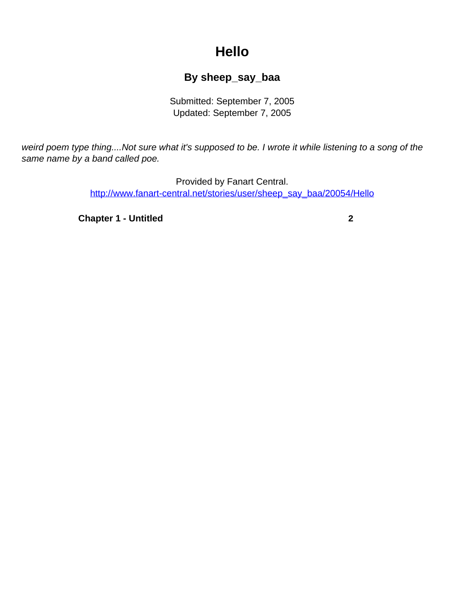## **Hello**

## **By sheep\_say\_baa**

Submitted: September 7, 2005 Updated: September 7, 2005

<span id="page-0-0"></span>weird poem type thing....Not sure what it's supposed to be. I wrote it while listening to a song of the same name by a band called poe.

> Provided by Fanart Central. [http://www.fanart-central.net/stories/user/sheep\\_say\\_baa/20054/Hello](#page-0-0)

**[Chapter 1 - Untitled](#page-1-0) [2](#page-1-0)**